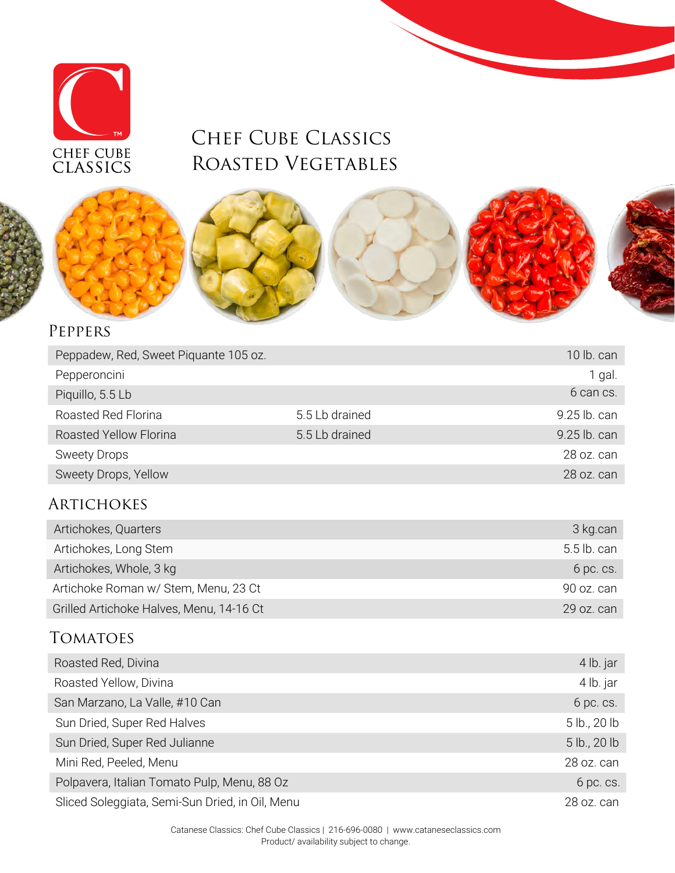

# Chef Cube Classics Roasted Vegetables



#### Peppers

| Peppadew, Red, Sweet Piquante 105 oz. |                | 10 lb. can   |
|---------------------------------------|----------------|--------------|
| Pepperoncini                          |                | 1 gal.       |
| Piquillo, 5.5 Lb                      |                | 6 can cs.    |
| Roasted Red Florina                   | 5.5 Lb drained | 9.25 lb. can |
| Roasted Yellow Florina                | 5.5 Lb drained | 9.25 lb. can |
| <b>Sweety Drops</b>                   |                | 28 oz. can   |
| Sweety Drops, Yellow                  |                | 28 oz. can   |

#### **ARTICHOKES**

| Artichokes, Quarters                     | 3 kg.can    |
|------------------------------------------|-------------|
| Artichokes, Long Stem                    | 5.5 lb. can |
| Artichokes, Whole, 3 kg                  | 6 pc. cs.   |
| Artichoke Roman w/ Stem, Menu, 23 Ct     | 90 oz. can  |
| Grilled Artichoke Halves, Menu, 14-16 Ct | 29 oz. can  |

#### **TOMATOES**

| Roasted Red, Divina                             | 4 lb. jar    |
|-------------------------------------------------|--------------|
| Roasted Yellow, Divina                          | 4 lb. jar    |
| San Marzano, La Valle, #10 Can                  | 6 pc. cs.    |
| Sun Dried, Super Red Halves                     | 5 lb., 20 lb |
| Sun Dried, Super Red Julianne                   | 5 lb., 20 lb |
| Mini Red, Peeled, Menu                          | 28 oz. can   |
| Polpavera, Italian Tomato Pulp, Menu, 88 Oz     | 6 pc. cs.    |
| Sliced Soleggiata, Semi-Sun Dried, in Oil, Menu | 28 oz. can   |